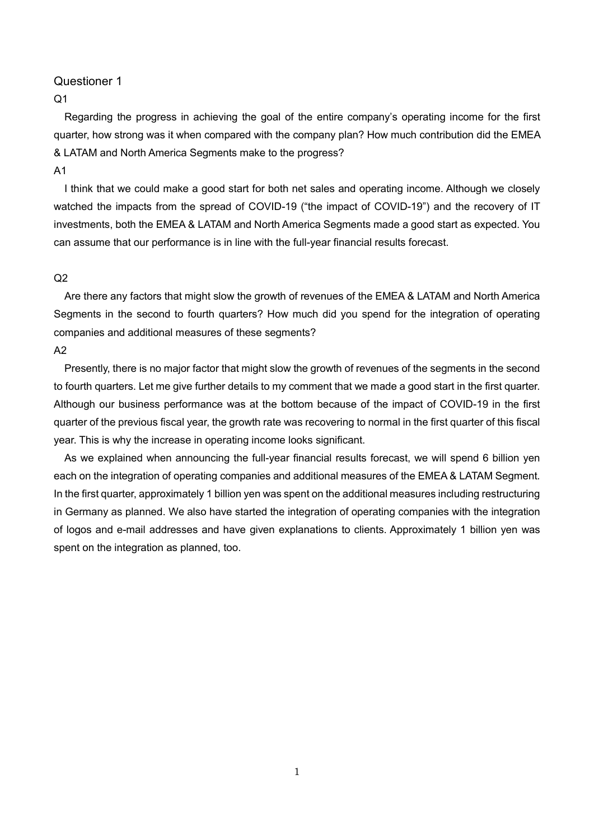## $O<sub>1</sub>$

Regarding the progress in achieving the goal of the entire company's operating income for the first quarter, how strong was it when compared with the company plan? How much contribution did the EMEA & LATAM and North America Segments make to the progress?

#### A1

I think that we could make a good start for both net sales and operating income. Although we closely watched the impacts from the spread of COVID-19 ("the impact of COVID-19") and the recovery of IT investments, both the EMEA & LATAM and North America Segments made a good start as expected. You can assume that our performance is in line with the full-year financial results forecast.

### $Q<sub>2</sub>$

Are there any factors that might slow the growth of revenues of the EMEA & LATAM and North America Segments in the second to fourth quarters? How much did you spend for the integration of operating companies and additional measures of these segments?

A2

Presently, there is no major factor that might slow the growth of revenues of the segments in the second to fourth quarters. Let me give further details to my comment that we made a good start in the first quarter. Although our business performance was at the bottom because of the impact of COVID-19 in the first quarter of the previous fiscal year, the growth rate was recovering to normal in the first quarter of this fiscal year. This is why the increase in operating income looks significant.

As we explained when announcing the full-year financial results forecast, we will spend 6 billion yen each on the integration of operating companies and additional measures of the EMEA & LATAM Segment. In the first quarter, approximately 1 billion yen was spent on the additional measures including restructuring in Germany as planned. We also have started the integration of operating companies with the integration of logos and e-mail addresses and have given explanations to clients. Approximately 1 billion yen was spent on the integration as planned, too.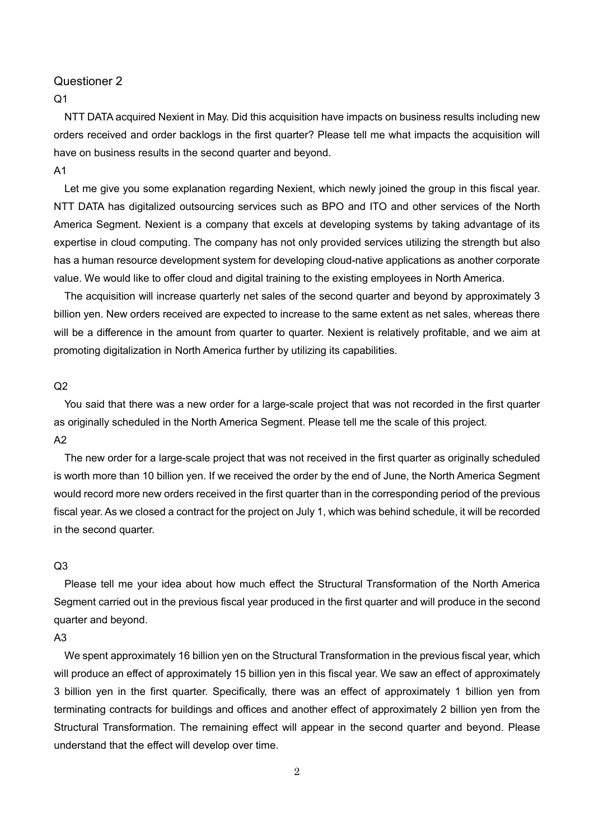## $O<sub>1</sub>$

NTT DATA acquired Nexient in May. Did this acquisition have impacts on business results including new orders received and order backlogs in the first quarter? Please tell me what impacts the acquisition will have on business results in the second quarter and beyond.

### A1

Let me give you some explanation regarding Nexient, which newly joined the group in this fiscal year. NTT DATA has digitalized outsourcing services such as BPO and ITO and other services of the North America Segment. Nexient is a company that excels at developing systems by taking advantage of its expertise in cloud computing. The company has not only provided services utilizing the strength but also has a human resource development system for developing cloud-native applications as another corporate value. We would like to offer cloud and digital training to the existing employees in North America.

The acquisition will increase quarterly net sales of the second quarter and beyond by approximately 3 billion yen. New orders received are expected to increase to the same extent as net sales, whereas there will be a difference in the amount from quarter to quarter. Nexient is relatively profitable, and we aim at promoting digitalization in North America further by utilizing its capabilities.

#### $O<sub>2</sub>$

You said that there was a new order for a large-scale project that was not recorded in the first quarter as originally scheduled in the North America Segment. Please tell me the scale of this project. A2

The new order for a large-scale project that was not received in the first quarter as originally scheduled is worth more than 10 billion yen. If we received the order by the end of June, the North America Segment would record more new orders received in the first quarter than in the corresponding period of the previous fiscal year. As we closed a contract for the project on July 1, which was behind schedule, it will be recorded in the second quarter.

#### $O<sub>3</sub>$

Please tell me your idea about how much effect the Structural Transformation of the North America Segment carried out in the previous fiscal year produced in the first quarter and will produce in the second quarter and beyond.

### A3

We spent approximately 16 billion yen on the Structural Transformation in the previous fiscal year, which will produce an effect of approximately 15 billion yen in this fiscal year. We saw an effect of approximately 3 billion yen in the first quarter. Specifically, there was an effect of approximately 1 billion yen from terminating contracts for buildings and offices and another effect of approximately 2 billion yen from the Structural Transformation. The remaining effect will appear in the second quarter and beyond. Please understand that the effect will develop over time.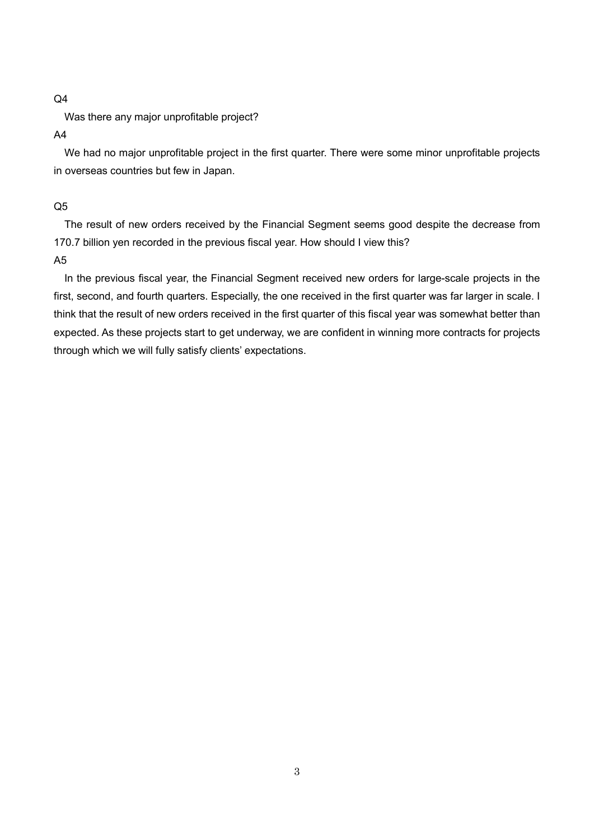### $Q<sub>4</sub>$

Was there any major unprofitable project?

#### A4

We had no major unprofitable project in the first quarter. There were some minor unprofitable projects in overseas countries but few in Japan.

#### Q5

The result of new orders received by the Financial Segment seems good despite the decrease from 170.7 billion yen recorded in the previous fiscal year. How should I view this? A5

In the previous fiscal year, the Financial Segment received new orders for large-scale projects in the first, second, and fourth quarters. Especially, the one received in the first quarter was far larger in scale. I think that the result of new orders received in the first quarter of this fiscal year was somewhat better than expected. As these projects start to get underway, we are confident in winning more contracts for projects through which we will fully satisfy clients' expectations.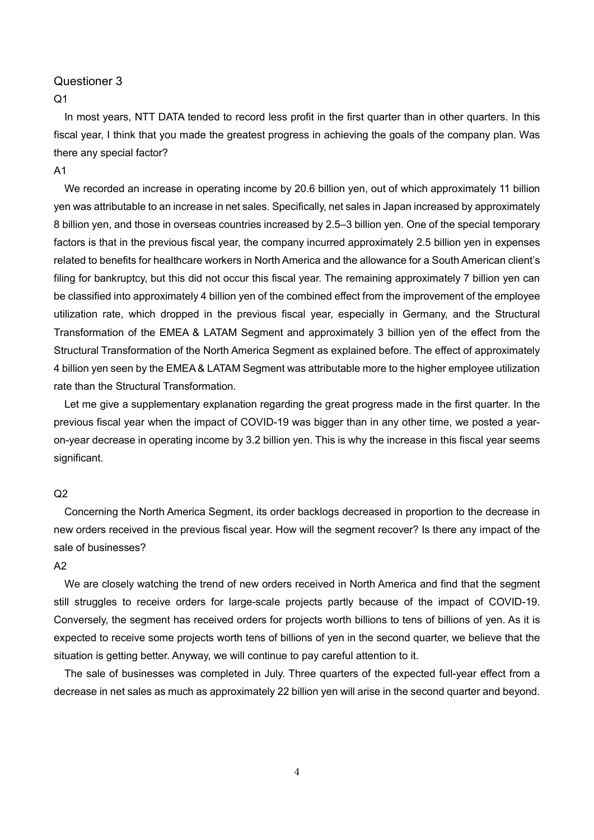## $Q<sub>1</sub>$

In most years, NTT DATA tended to record less profit in the first quarter than in other quarters. In this fiscal year, I think that you made the greatest progress in achieving the goals of the company plan. Was there any special factor?

#### A1

We recorded an increase in operating income by 20.6 billion yen, out of which approximately 11 billion yen was attributable to an increase in net sales. Specifically, net sales in Japan increased by approximately 8 billion yen, and those in overseas countries increased by 2.5–3 billion yen. One of the special temporary factors is that in the previous fiscal year, the company incurred approximately 2.5 billion yen in expenses related to benefits for healthcare workers in North America and the allowance for a South American client's filing for bankruptcy, but this did not occur this fiscal year. The remaining approximately 7 billion yen can be classified into approximately 4 billion yen of the combined effect from the improvement of the employee utilization rate, which dropped in the previous fiscal year, especially in Germany, and the Structural Transformation of the EMEA & LATAM Segment and approximately 3 billion yen of the effect from the Structural Transformation of the North America Segment as explained before. The effect of approximately 4 billion yen seen by the EMEA & LATAM Segment was attributable more to the higher employee utilization rate than the Structural Transformation.

Let me give a supplementary explanation regarding the great progress made in the first quarter. In the previous fiscal year when the impact of COVID-19 was bigger than in any other time, we posted a yearon-year decrease in operating income by 3.2 billion yen. This is why the increase in this fiscal year seems significant.

#### $O<sub>2</sub>$

Concerning the North America Segment, its order backlogs decreased in proportion to the decrease in new orders received in the previous fiscal year. How will the segment recover? Is there any impact of the sale of businesses?

### $A2$

We are closely watching the trend of new orders received in North America and find that the segment still struggles to receive orders for large-scale projects partly because of the impact of COVID-19. Conversely, the segment has received orders for projects worth billions to tens of billions of yen. As it is expected to receive some projects worth tens of billions of yen in the second quarter, we believe that the situation is getting better. Anyway, we will continue to pay careful attention to it.

The sale of businesses was completed in July. Three quarters of the expected full-year effect from a decrease in net sales as much as approximately 22 billion yen will arise in the second quarter and beyond.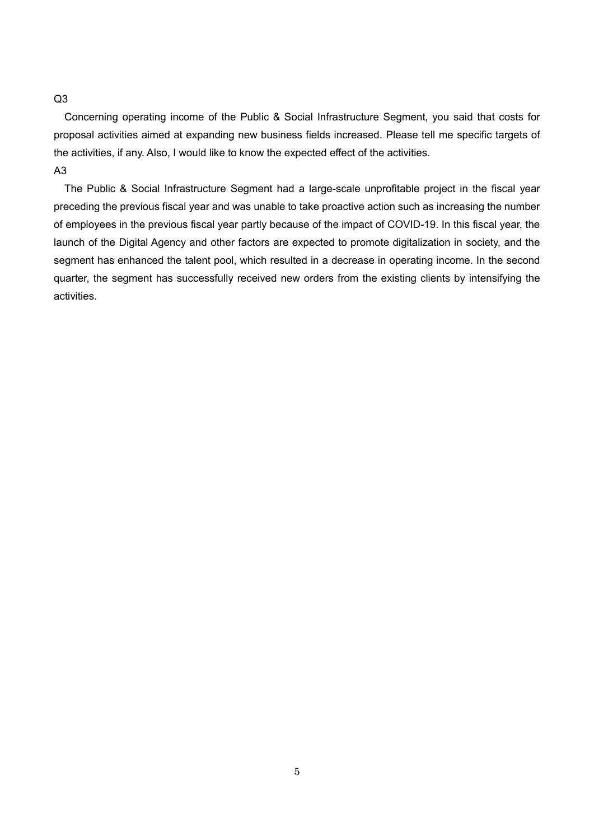### Q3

Concerning operating income of the Public & Social Infrastructure Segment, you said that costs for proposal activities aimed at expanding new business fields increased. Please tell me specific targets of the activities, if any. Also, I would like to know the expected effect of the activities. A3

The Public & Social Infrastructure Segment had a large-scale unprofitable project in the fiscal year preceding the previous fiscal year and was unable to take proactive action such as increasing the number of employees in the previous fiscal year partly because of the impact of COVID-19. In this fiscal year, the launch of the Digital Agency and other factors are expected to promote digitalization in society, and the segment has enhanced the talent pool, which resulted in a decrease in operating income. In the second quarter, the segment has successfully received new orders from the existing clients by intensifying the activities.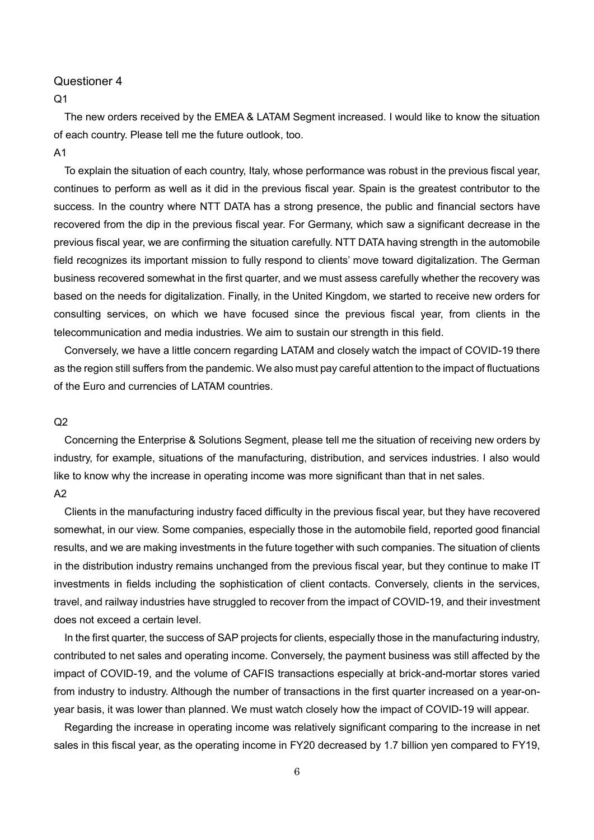### $Q<sub>1</sub>$

The new orders received by the EMEA & LATAM Segment increased. I would like to know the situation of each country. Please tell me the future outlook, too.

## A1

To explain the situation of each country, Italy, whose performance was robust in the previous fiscal year, continues to perform as well as it did in the previous fiscal year. Spain is the greatest contributor to the success. In the country where NTT DATA has a strong presence, the public and financial sectors have recovered from the dip in the previous fiscal year. For Germany, which saw a significant decrease in the previous fiscal year, we are confirming the situation carefully. NTT DATA having strength in the automobile field recognizes its important mission to fully respond to clients' move toward digitalization. The German business recovered somewhat in the first quarter, and we must assess carefully whether the recovery was based on the needs for digitalization. Finally, in the United Kingdom, we started to receive new orders for consulting services, on which we have focused since the previous fiscal year, from clients in the telecommunication and media industries. We aim to sustain our strength in this field.

Conversely, we have a little concern regarding LATAM and closely watch the impact of COVID-19 there as the region still suffers from the pandemic. We also must pay careful attention to the impact of fluctuations of the Euro and currencies of LATAM countries.

### $Q<sub>2</sub>$

Concerning the Enterprise & Solutions Segment, please tell me the situation of receiving new orders by industry, for example, situations of the manufacturing, distribution, and services industries. I also would like to know why the increase in operating income was more significant than that in net sales. A2

Clients in the manufacturing industry faced difficulty in the previous fiscal year, but they have recovered somewhat, in our view. Some companies, especially those in the automobile field, reported good financial results, and we are making investments in the future together with such companies. The situation of clients in the distribution industry remains unchanged from the previous fiscal year, but they continue to make IT investments in fields including the sophistication of client contacts. Conversely, clients in the services, travel, and railway industries have struggled to recover from the impact of COVID-19, and their investment does not exceed a certain level.

In the first quarter, the success of SAP projects for clients, especially those in the manufacturing industry, contributed to net sales and operating income. Conversely, the payment business was still affected by the impact of COVID-19, and the volume of CAFIS transactions especially at brick-and-mortar stores varied from industry to industry. Although the number of transactions in the first quarter increased on a year-onyear basis, it was lower than planned. We must watch closely how the impact of COVID-19 will appear.

Regarding the increase in operating income was relatively significant comparing to the increase in net sales in this fiscal year, as the operating income in FY20 decreased by 1.7 billion yen compared to FY19,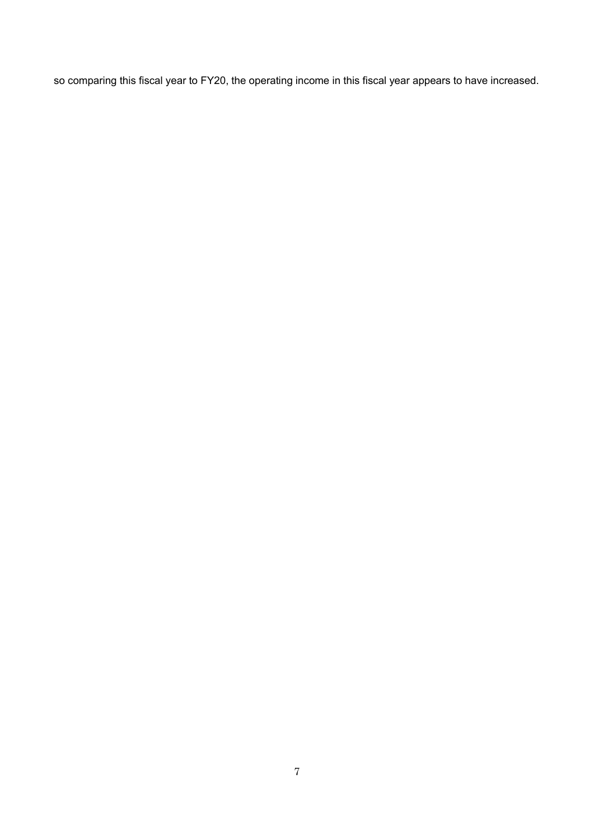so comparing this fiscal year to FY20, the operating income in this fiscal year appears to have increased.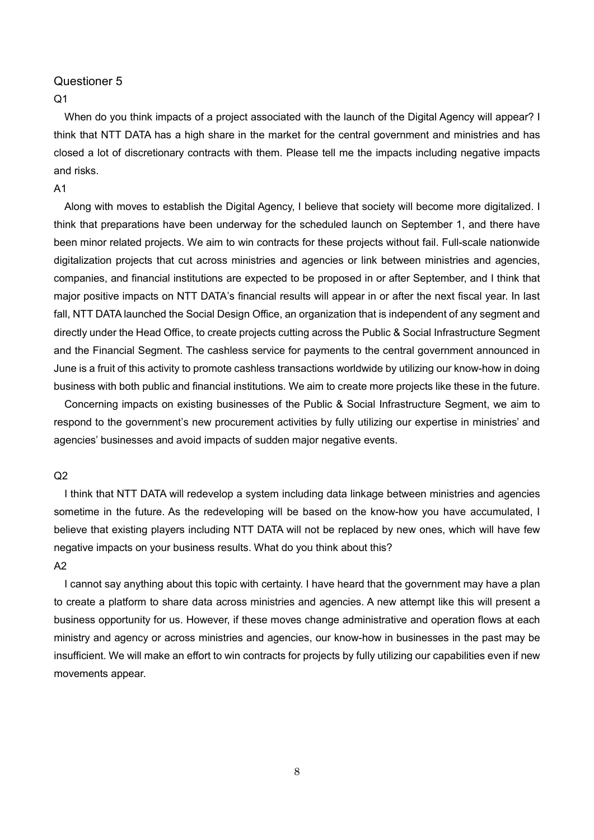## $Q<sub>1</sub>$

When do you think impacts of a project associated with the launch of the Digital Agency will appear? I think that NTT DATA has a high share in the market for the central government and ministries and has closed a lot of discretionary contracts with them. Please tell me the impacts including negative impacts and risks.

## A1

Along with moves to establish the Digital Agency, I believe that society will become more digitalized. I think that preparations have been underway for the scheduled launch on September 1, and there have been minor related projects. We aim to win contracts for these projects without fail. Full-scale nationwide digitalization projects that cut across ministries and agencies or link between ministries and agencies, companies, and financial institutions are expected to be proposed in or after September, and I think that major positive impacts on NTT DATA's financial results will appear in or after the next fiscal year. In last fall, NTT DATA launched the Social Design Office, an organization that is independent of any segment and directly under the Head Office, to create projects cutting across the Public & Social Infrastructure Segment and the Financial Segment. The cashless service for payments to the central government announced in June is a fruit of this activity to promote cashless transactions worldwide by utilizing our know-how in doing business with both public and financial institutions. We aim to create more projects like these in the future.

Concerning impacts on existing businesses of the Public & Social Infrastructure Segment, we aim to respond to the government's new procurement activities by fully utilizing our expertise in ministries' and agencies' businesses and avoid impacts of sudden major negative events.

### $Q<sub>2</sub>$

I think that NTT DATA will redevelop a system including data linkage between ministries and agencies sometime in the future. As the redeveloping will be based on the know-how you have accumulated, I believe that existing players including NTT DATA will not be replaced by new ones, which will have few negative impacts on your business results. What do you think about this?  $A<sub>2</sub>$ 

I cannot say anything about this topic with certainty. I have heard that the government may have a plan to create a platform to share data across ministries and agencies. A new attempt like this will present a business opportunity for us. However, if these moves change administrative and operation flows at each ministry and agency or across ministries and agencies, our know-how in businesses in the past may be insufficient. We will make an effort to win contracts for projects by fully utilizing our capabilities even if new movements appear.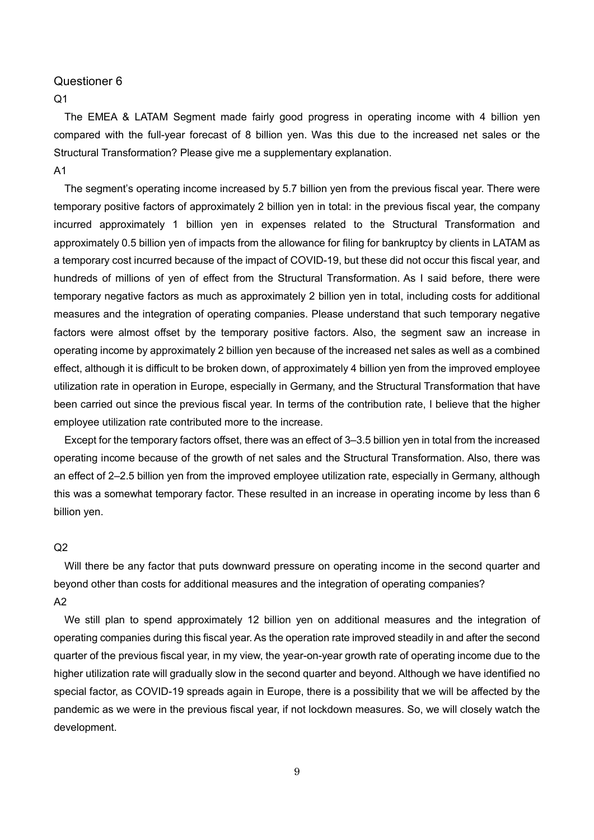$Q<sub>1</sub>$ 

The EMEA & LATAM Segment made fairly good progress in operating income with 4 billion yen compared with the full-year forecast of 8 billion yen. Was this due to the increased net sales or the Structural Transformation? Please give me a supplementary explanation. A1

The segment's operating income increased by 5.7 billion yen from the previous fiscal year. There were temporary positive factors of approximately 2 billion yen in total: in the previous fiscal year, the company incurred approximately 1 billion yen in expenses related to the Structural Transformation and approximately 0.5 billion yen of impacts from the allowance for filing for bankruptcy by clients in LATAM as a temporary cost incurred because of the impact of COVID-19, but these did not occur this fiscal year, and hundreds of millions of yen of effect from the Structural Transformation. As I said before, there were temporary negative factors as much as approximately 2 billion yen in total, including costs for additional measures and the integration of operating companies. Please understand that such temporary negative factors were almost offset by the temporary positive factors. Also, the segment saw an increase in operating income by approximately 2 billion yen because of the increased net sales as well as a combined effect, although it is difficult to be broken down, of approximately 4 billion yen from the improved employee utilization rate in operation in Europe, especially in Germany, and the Structural Transformation that have been carried out since the previous fiscal year. In terms of the contribution rate, I believe that the higher employee utilization rate contributed more to the increase.

Except for the temporary factors offset, there was an effect of 3–3.5 billion yen in total from the increased operating income because of the growth of net sales and the Structural Transformation. Also, there was an effect of 2–2.5 billion yen from the improved employee utilization rate, especially in Germany, although this was a somewhat temporary factor. These resulted in an increase in operating income by less than 6 billion yen.

#### $Q<sub>2</sub>$

Will there be any factor that puts downward pressure on operating income in the second quarter and beyond other than costs for additional measures and the integration of operating companies? A2

We still plan to spend approximately 12 billion yen on additional measures and the integration of operating companies during this fiscal year. As the operation rate improved steadily in and after the second quarter of the previous fiscal year, in my view, the year-on-year growth rate of operating income due to the higher utilization rate will gradually slow in the second quarter and beyond. Although we have identified no special factor, as COVID-19 spreads again in Europe, there is a possibility that we will be affected by the pandemic as we were in the previous fiscal year, if not lockdown measures. So, we will closely watch the development.

9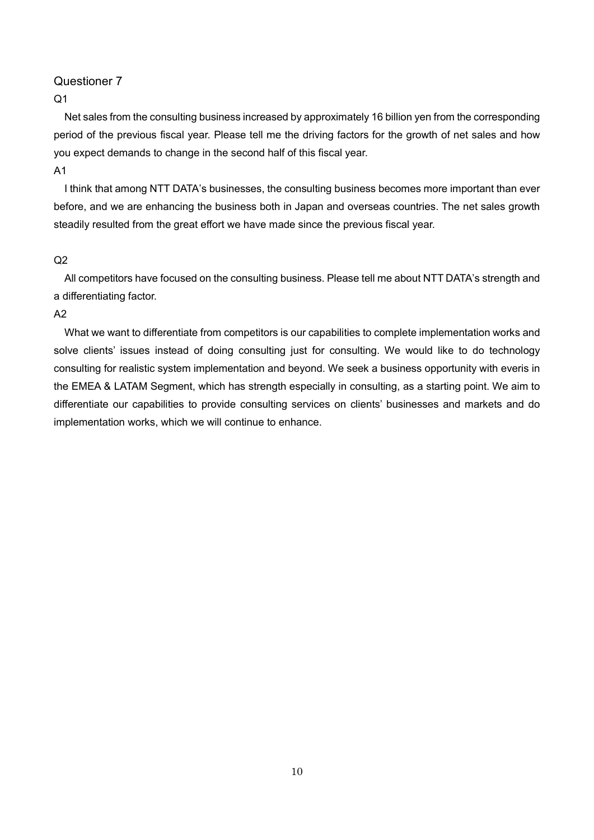## $O<sub>1</sub>$

Net sales from the consulting business increased by approximately 16 billion yen from the corresponding period of the previous fiscal year. Please tell me the driving factors for the growth of net sales and how you expect demands to change in the second half of this fiscal year.

### A1

I think that among NTT DATA's businesses, the consulting business becomes more important than ever before, and we are enhancing the business both in Japan and overseas countries. The net sales growth steadily resulted from the great effort we have made since the previous fiscal year.

## $Q<sub>2</sub>$

All competitors have focused on the consulting business. Please tell me about NTT DATA's strength and a differentiating factor.

## $A<sub>2</sub>$

What we want to differentiate from competitors is our capabilities to complete implementation works and solve clients' issues instead of doing consulting just for consulting. We would like to do technology consulting for realistic system implementation and beyond. We seek a business opportunity with everis in the EMEA & LATAM Segment, which has strength especially in consulting, as a starting point. We aim to differentiate our capabilities to provide consulting services on clients' businesses and markets and do implementation works, which we will continue to enhance.